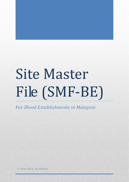# Site Master File (SMF-BE)

*For Blood Establishments in Malaysia*

*1st June 2016, 1st Edition*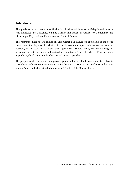# **Introduction**

This guidance note is issued specifically for blood establishments in Malaysia and must be read alongside the Guidelines on Site Master File issued by Centre for Compliance and Licensing (CCL), National Pharmaceutical Control Bureau.

The reference made to Guidelines on Site Master File should be applicable to the blood establishment settings. A Site Master File should contain adequate information but, as far as possible, not exceed 25-30 pages plus appendices. Simple plans, outline drawings or schematic layouts are preferred instead of narratives. The Site Master File, including appendices, should be readable when printed on A4 paper sheets.

The purpose of this document is to provide guidance for the blood establishments on how to create basic information about their activities that can be useful to the regulatory authority in planning and conducting Good Manufacturing Practice (GMP) inspections.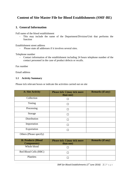# **Content of Site Master File for Blood Establishments (SMF-BE)**

## **1. General Information**

Full name of the blood establishment

- This may include the name of the Department/Division/Unit that performs the function

Establishment street address

- Please state all addresses if it involves several sites.

Telephone number

- Contact information of the establishment including 24 hours telephone number of the contact personnel in the case of product defects or recalls.

Fax number

Email address

#### **1.1 Activity Summary**

Please tick relevant boxes or indicate the activities carried out on site

| <b>A: Site Activity</b>                          | Please tick $\sqrt{}$ (may tick more<br>than one) | <b>Remarks (if any)</b> |
|--------------------------------------------------|---------------------------------------------------|-------------------------|
| Collection                                       |                                                   |                         |
| Testing                                          |                                                   |                         |
| Processing                                       |                                                   |                         |
| Storage                                          |                                                   |                         |
| Distribution                                     |                                                   |                         |
| Importation                                      |                                                   |                         |
| Exportation                                      |                                                   |                         |
| Others (Please specify)                          |                                                   |                         |
| <b>B: Products (Blood</b><br><b>Components</b> ) | Please tick $\sqrt{}$ (may tick more<br>than one) | <b>Remarks (if any)</b> |
| Whole blood                                      |                                                   |                         |
| Red Blood Cells (RBC)                            |                                                   |                         |
| Platelets                                        |                                                   |                         |

*SMF for Blood Establishments (1st June 2016)* 2 | P a g e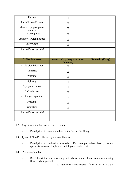| Plasma                            |                                                   |                         |
|-----------------------------------|---------------------------------------------------|-------------------------|
| Fresh Frozen Plasma               | $\Box$                                            |                         |
| Plasma Cryoprecipitate<br>Reduced | П                                                 |                         |
| Cryoprecipitate                   | $\Box$                                            |                         |
| Leukocytes/Granulocytes           | $\Box$                                            |                         |
| <b>Buffy Coats</b>                | П                                                 |                         |
| Others (Please specify)           |                                                   |                         |
|                                   |                                                   |                         |
| <b>C: Site Processes</b>          | Please tick $\sqrt{}$ (may tick more<br>than one) | <b>Remarks (if any)</b> |
| Whole blood donation              | П                                                 |                         |
|                                   |                                                   |                         |
| Apheresis                         | П                                                 |                         |
| Washing                           | $\Box$                                            |                         |
| Splitting                         | $\Box$                                            |                         |
| Cryopreservation                  | П                                                 |                         |
| Cell selection                    | П                                                 |                         |
| Leukocyte depletion               | П                                                 |                         |
| Freezing                          | П                                                 |                         |
| Irradiation                       | $\Box$                                            |                         |

- **1.2** Any other activities carried out on the site
	- Description of non-blood related activities on-site, if any.
- **1.3** Types of Blood\* collected by the establishment:
	- Description of collection methods. For example whole blood, manual apheresis, automated apheresis, autologous or allogeneic
- **1.4** Processing methods
	- Brief description on processing methods to produce blood components using flow charts, if possible.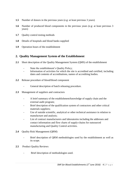- **1.5** Number of donors in the previous years (e.g: at least previous 3 years)
- **1.6** Number of produced blood components in the previous years (e.g: at least previous 3 years)
- **1.7** Ouality control testing methods
- **1.8** Details of hospitals and blood banks supplied
- **1.9** Operation hours of the establishment

#### **2. Quality Management System of the Establishment**

- **2.1** Short description of the Quality Management System (QMS) of the establishment
	- State the establishment's Quality Policy;
	- Information of activities for which the site is accredited and certified, including dates and contents of accreditations, names of accrediting bodies.
- **2.2** Release procedure of blood/blood component
	- General description of batch releasing procedure.
- **2.3** Management of suppliers and contractors
	- A brief summary of the establishment/knowledge of supply chain and the external audit program;
	- Brief description of the qualification system of contractors and other critical materials suppliers;
	- Use of outside scientific, analytical or other technical assistance in relation to manufacture and analysis;
	- List of contract manufacturers and laboratories including the addresses and contact information and flow charts of supply-chains for outsourced manufacturing and Quality Control activities.
- 2.4 Ouality Risk Management (ORM)
	- Brief description of QRM methodologies used by the establishment as well as its scope.
- **2.5** Product Quality Reviews
	- Brief description of methodologies used.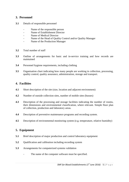## **3. Personnel**

- **3.1** Details of responsible personnel
	- Name of the responsible person
	- Name of Establishment Director
	- Name of Medical Director
	- Name of the Head of Quality Control and/or Quality Manager
	- Name of the Production Manager
- **3.2** Total number of staff
- **3.3** Outline of arrangements for basic and in-service training and how records are maintained
- **3.4** Personnel hygiene requirements, including clothing
- **3.5** Organisation chart indicating how many people are working in collection, processing, quality control, quality assurance, administration, storage and transport.

#### **4. Facilities**

- **4.1** Short description of the site (size, location and adjacent environment)
- **4.2** Number of outside collection sites, number of mobile sites (busses)
- **4.3** Description of the processing and storage facilities indicating the number of rooms, their dimensions and environmental classification, where relevant. Simple floor plan of collection, production and laboratory areas.
- **4.4** Description of preventive maintenance programs and recording system.
- **4.5** Description of environmental monitoring system (e.g. temperature, relative humidity)

#### **5. Equipment**

- **5.1** Brief description of major production and control laboratory equipment
- **5.2** Qualification and calibration including recording system
- **5.3** Arrangements for computerized systems validation
	- The name of the computer software must be specified.